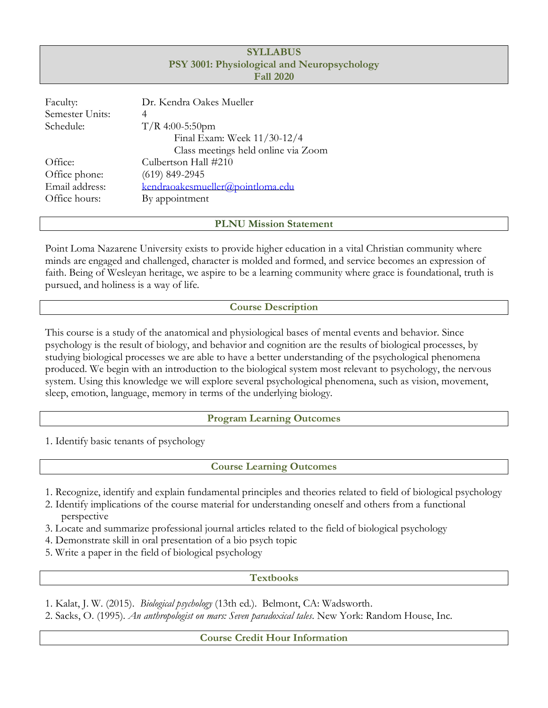| <b>SYLLABUS</b><br>PSY 3001: Physiological and Neuropsychology<br><b>Fall 2020</b> |                                     |  |  |  |  |  |  |
|------------------------------------------------------------------------------------|-------------------------------------|--|--|--|--|--|--|
| Faculty:                                                                           | Dr. Kendra Oakes Mueller            |  |  |  |  |  |  |
| Semester Units:                                                                    | 4                                   |  |  |  |  |  |  |
| Schedule:                                                                          | $T/R$ 4:00-5:50pm                   |  |  |  |  |  |  |
|                                                                                    | Final Exam: Week 11/30-12/4         |  |  |  |  |  |  |
|                                                                                    | Class meetings held online via Zoom |  |  |  |  |  |  |
| Office:                                                                            | Culbertson Hall #210                |  |  |  |  |  |  |
| Office phone:                                                                      | $(619)$ 849-2945                    |  |  |  |  |  |  |
| Email address:                                                                     | kendraoakesmueller@pointloma.edu    |  |  |  |  |  |  |
| Office hours:                                                                      | By appointment                      |  |  |  |  |  |  |
|                                                                                    |                                     |  |  |  |  |  |  |

**PLNU Mission Statement**

Point Loma Nazarene University exists to provide higher education in a vital Christian community where minds are engaged and challenged, character is molded and formed, and service becomes an expression of faith. Being of Wesleyan heritage, we aspire to be a learning community where grace is foundational, truth is pursued, and holiness is a way of life.

## **Course Description**

This course is a study of the anatomical and physiological bases of mental events and behavior. Since psychology is the result of biology, and behavior and cognition are the results of biological processes, by studying biological processes we are able to have a better understanding of the psychological phenomena produced. We begin with an introduction to the biological system most relevant to psychology, the nervous system. Using this knowledge we will explore several psychological phenomena, such as vision, movement, sleep, emotion, language, memory in terms of the underlying biology.

### **Program Learning Outcomes**

1. Identify basic tenants of psychology

**Course Learning Outcomes**

- 1. Recognize, identify and explain fundamental principles and theories related to field of biological psychology
- 2. Identify implications of the course material for understanding oneself and others from a functional perspective
- 3. Locate and summarize professional journal articles related to the field of biological psychology
- 4. Demonstrate skill in oral presentation of a bio psych topic
- 5. Write a paper in the field of biological psychology

### **Textbooks**

1. Kalat, J. W. (2015). *Biological psychology* (13th ed.). Belmont, CA: Wadsworth.

2. Sacks, O. (1995). *An anthropologist on mars: Seven paradoxical tales*. New York: Random House, Inc.

**Course Credit Hour Information**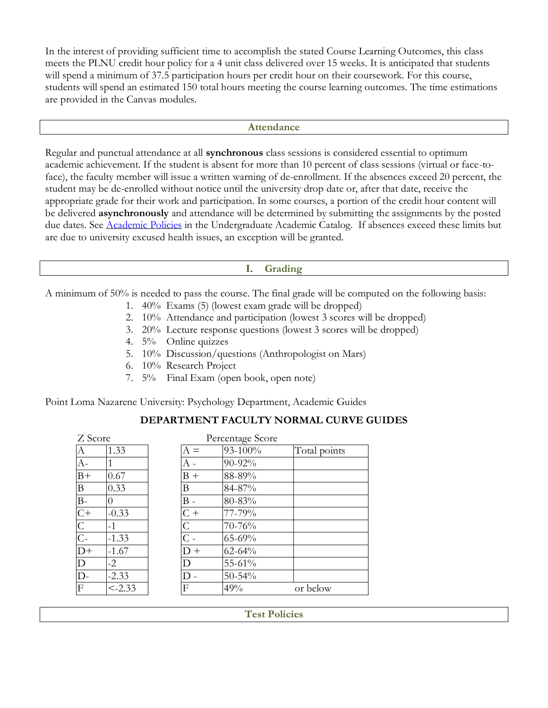In the interest of providing sufficient time to accomplish the stated Course Learning Outcomes, this class meets the PLNU credit hour policy for a 4 unit class delivered over 15 weeks. It is anticipated that students will spend a minimum of 37.5 participation hours per credit hour on their coursework. For this course, students will spend an estimated 150 total hours meeting the course learning outcomes. The time estimations are provided in the Canvas modules.

#### **Attendance**

Regular and punctual attendance at all **synchronous** class sessions is considered essential to optimum academic achievement. If the student is absent for more than 10 percent of class sessions (virtual or face-toface), the faculty member will issue a written warning of de-enrollment. If the absences exceed 20 percent, the student may be de-enrolled without notice until the university drop date or, after that date, receive the appropriate grade for their work and participation. In some courses, a portion of the credit hour content will be delivered **asynchronously** and attendance will be determined by submitting the assignments by the posted due dates. See [Academic Policies](https://catalog.pointloma.edu/content.php?catoid=46&navoid=2650#Class_Attendance) in the Undergraduate Academic Catalog. If absences exceed these limits but are due to university excused health issues, an exception will be granted.

### **I. Grading**

A minimum of 50% is needed to pass the course. The final grade will be computed on the following basis:

- 1. 40% Exams (5) (lowest exam grade will be dropped)
- 2. 10% Attendance and participation (lowest 3 scores will be dropped)
- 3. 20% Lecture response questions (lowest 3 scores will be dropped)
- 4. 5% Online quizzes
- 5. 10% Discussion/questions (Anthropologist on Mars)
- 6. 10% Research Project
- 7. 5% Final Exam (open book, open note)

Point Loma Nazarene University: Psychology Department, Academic Guides

| Z Score          |           |                          | Percentage Score |              |
|------------------|-----------|--------------------------|------------------|--------------|
| $\boldsymbol{A}$ | 1.33      | $A =$                    | 93-100%          | Total points |
| $A-$             |           |                          | 90-92%           |              |
| $B+$             | 0.67      | $B +$                    | 88-89%           |              |
| $\boldsymbol{B}$ | 0.33      | B                        | 84-87%           |              |
| $\overline{B}$   | $\theta$  | $\mathsf{I}\mathsf{B}$ . | 80-83%           |              |
| $\overline{C}$   | $-0.33$   | $C +$                    | 77-79%           |              |
| $\overline{C}$   | $-1$      | $\overline{C}$           | 70-76%           |              |
| $\overline{C}$ - | $-1.33$   | $\overline{C}$ -         | 65-69%           |              |
| $D+$             | $-1.67$   | $D +$                    | $62 - 64%$       |              |
| $\mathbf D$      | $-2$      | D                        | 55-61%           |              |
| $\overline{D}$ - | $-2.33$   | D                        | $50 - 54%$       |              |
| $\overline{F}$   | $< -2.33$ | F                        | 49%              | or below     |
|                  |           |                          |                  |              |

# **DEPARTMENT FACULTY NORMAL CURVE GUIDES**

**Test Policies**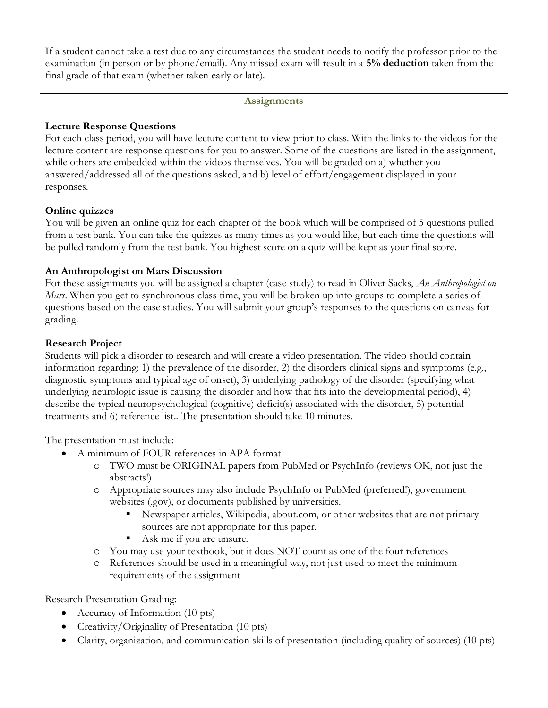If a student cannot take a test due to any circumstances the student needs to notify the professor prior to the examination (in person or by phone/email). Any missed exam will result in a **5% deduction** taken from the final grade of that exam (whether taken early or late).

#### **Assignments**

### **Lecture Response Questions**

For each class period, you will have lecture content to view prior to class. With the links to the videos for the lecture content are response questions for you to answer. Some of the questions are listed in the assignment, while others are embedded within the videos themselves. You will be graded on a) whether you answered/addressed all of the questions asked, and b) level of effort/engagement displayed in your responses.

### **Online quizzes**

You will be given an online quiz for each chapter of the book which will be comprised of 5 questions pulled from a test bank. You can take the quizzes as many times as you would like, but each time the questions will be pulled randomly from the test bank. You highest score on a quiz will be kept as your final score.

### **An Anthropologist on Mars Discussion**

For these assignments you will be assigned a chapter (case study) to read in Oliver Sacks, *An Anthropologist on Mars*. When you get to synchronous class time, you will be broken up into groups to complete a series of questions based on the case studies. You will submit your group's responses to the questions on canvas for grading.

#### **Research Project**

Students will pick a disorder to research and will create a video presentation. The video should contain information regarding: 1) the prevalence of the disorder, 2) the disorders clinical signs and symptoms (e.g., diagnostic symptoms and typical age of onset), 3) underlying pathology of the disorder (specifying what underlying neurologic issue is causing the disorder and how that fits into the developmental period), 4) describe the typical neuropsychological (cognitive) deficit(s) associated with the disorder, 5) potential treatments and 6) reference list.. The presentation should take 10 minutes.

The presentation must include:

- A minimum of FOUR references in APA format
	- o TWO must be ORIGINAL papers from PubMed or PsychInfo (reviews OK, not just the abstracts!)
	- o Appropriate sources may also include PsychInfo or PubMed (preferred!), government websites (.gov), or documents published by universities.
		- Newspaper articles, Wikipedia, about.com, or other websites that are not primary sources are not appropriate for this paper.
		- Ask me if you are unsure.
	- o You may use your textbook, but it does NOT count as one of the four references
	- o References should be used in a meaningful way, not just used to meet the minimum requirements of the assignment

Research Presentation Grading:

- Accuracy of Information (10 pts)
- Creativity/Originality of Presentation (10 pts)
- Clarity, organization, and communication skills of presentation (including quality of sources) (10 pts)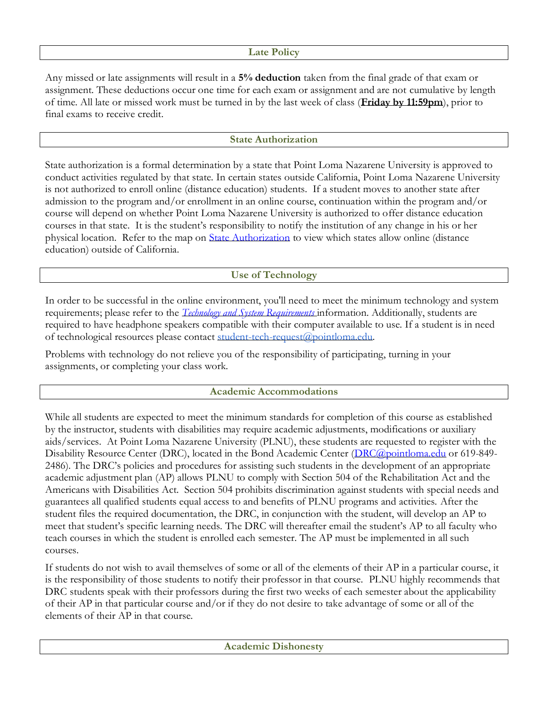### **Late Policy**

Any missed or late assignments will result in a **5% deduction** taken from the final grade of that exam or assignment. These deductions occur one time for each exam or assignment and are not cumulative by length of time. All late or missed work must be turned in by the last week of class (**Friday by 11:59pm**), prior to final exams to receive credit.

## **State Authorization**

State authorization is a formal determination by a state that Point Loma Nazarene University is approved to conduct activities regulated by that state. In certain states outside California, Point Loma Nazarene University is not authorized to enroll online (distance education) students. If a student moves to another state after admission to the program and/or enrollment in an online course, continuation within the program and/or course will depend on whether Point Loma Nazarene University is authorized to offer distance education courses in that state. It is the student's responsibility to notify the institution of any change in his or her physical location. Refer to the map on [State Authorization](https://www.pointloma.edu/offices/office-institutional-effectiveness-research/disclosures) to view which states allow online (distance education) outside of California.

# **Use of Technology**

In order to be successful in the online environment, you'll need to meet the minimum technology and system requirements; please refer to the *[Technology and System Requirements](https://help.pointloma.edu/TDClient/1808/Portal/KB/ArticleDet?ID=108349)* information. Additionally, students are required to have headphone speakers compatible with their computer available to use. If a student is in need of technological resources please contact [student-tech-request@pointloma.edu.](mailto:student-tech-request@pointloma.edu)

Problems with technology do not relieve you of the responsibility of participating, turning in your assignments, or completing your class work.

# **Academic Accommodations**

While all students are expected to meet the minimum standards for completion of this course as established by the instructor, students with disabilities may require academic adjustments, modifications or auxiliary aids/services. At Point Loma Nazarene University (PLNU), these students are requested to register with the Disability Resource Center (DRC), located in the Bond Academic Center [\(DRC@pointloma.edu](mailto:DRC@pointloma.edu) or 619-849-2486). The DRC's policies and procedures for assisting such students in the development of an appropriate academic adjustment plan (AP) allows PLNU to comply with Section 504 of the Rehabilitation Act and the Americans with Disabilities Act. Section 504 prohibits discrimination against students with special needs and guarantees all qualified students equal access to and benefits of PLNU programs and activities. After the student files the required documentation, the DRC, in conjunction with the student, will develop an AP to meet that student's specific learning needs. The DRC will thereafter email the student's AP to all faculty who teach courses in which the student is enrolled each semester. The AP must be implemented in all such courses.

If students do not wish to avail themselves of some or all of the elements of their AP in a particular course, it is the responsibility of those students to notify their professor in that course. PLNU highly recommends that DRC students speak with their professors during the first two weeks of each semester about the applicability of their AP in that particular course and/or if they do not desire to take advantage of some or all of the elements of their AP in that course.